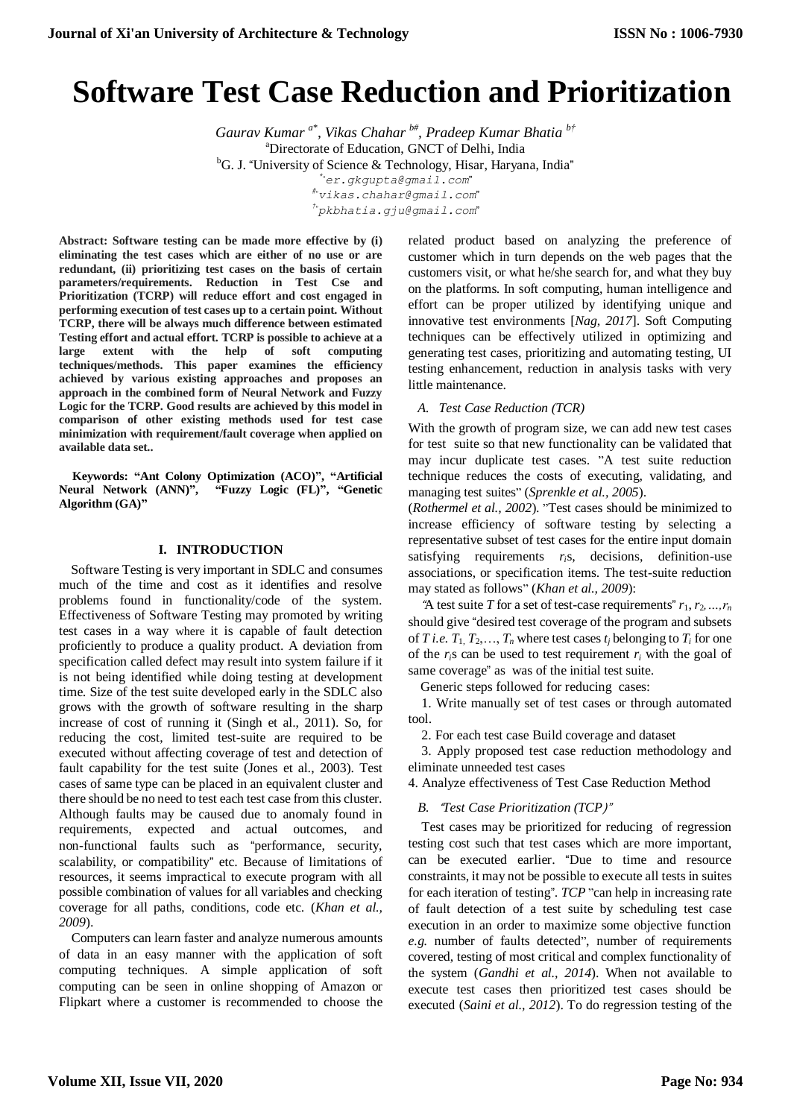# **Software Test Case Reduction and Prioritization**

*Gaurav Kumar a\* , Vikas Chahar b#, Pradeep Kumar Bhatia b†* <sup>a</sup>Directorate of Education, GNCT of Delhi, India <sup>b</sup>G. J. "University of Science & Technology, Hisar, Haryana, India" *\**"*er.gkgupta@gmail.com*" *#*"*vikas.chahar@gmail.com*" *†*"*pkbhatia.gju@gmail.com*"

**Abstract: Software testing can be made more effective by (i) eliminating the test cases which are either of no use or are redundant, (ii) prioritizing test cases on the basis of certain parameters/requirements. Reduction in Test Cse and Prioritization (TCRP) will reduce effort and cost engaged in performing execution of test cases up to a certain point. Without TCRP, there will be always much difference between estimated Testing effort and actual effort. TCRP is possible to achieve at a large extent with the help of soft computing techniques/methods. This paper examines the efficiency** 

**achieved by various existing approaches and proposes an approach in the combined form of Neural Network and Fuzzy Logic for the TCRP. Good results are achieved by this model in comparison of other existing methods used for test case minimization with requirement/fault coverage when applied on available data set..**

**Keywords: "Ant Colony Optimization (ACO)", "Artificial Neural Network (ANN)", "Fuzzy Logic (FL)", "Genetic Algorithm (GA)"**

### **I. INTRODUCTION**

Software Testing is very important in SDLC and consumes much of the time and cost as it identifies and resolve problems found in functionality/code of the system. Effectiveness of Software Testing may promoted by writing test cases in a way where it is capable of fault detection proficiently to produce a quality product. A deviation from specification called defect may result into system failure if it is not being identified while doing testing at development time. Size of the test suite developed early in the SDLC also grows with the growth of software resulting in the sharp increase of cost of running it (Singh et al., 2011). So, for reducing the cost, limited test-suite are required to be executed without affecting coverage of test and detection of fault capability for the test suite (Jones et al., 2003). Test cases of same type can be placed in an equivalent cluster and there should be no need to test each test case from this cluster. Although faults may be caused due to anomaly found in requirements, expected and actual outcomes, and non-functional faults such as "performance, security, scalability, or compatibility" etc. Because of limitations of resources, it seems impractical to execute program with all possible combination of values for all variables and checking coverage for all paths, conditions, code etc. (*Khan et al., 2009*).

Computers can learn faster and analyze numerous amounts of data in an easy manner with the application of soft computing techniques. A simple application of soft computing can be seen in online shopping of Amazon or Flipkart where a customer is recommended to choose the related product based on analyzing the preference of customer which in turn depends on the web pages that the customers visit, or what he/she search for, and what they buy on the platforms. In soft computing, human intelligence and effort can be proper utilized by identifying unique and innovative test environments [*Nag*, *2017*]. Soft Computing techniques can be effectively utilized in optimizing and generating test cases, prioritizing and automating testing, UI testing enhancement, reduction in analysis tasks with very little maintenance.

## *A. Test Case Reduction (TCR)*

With the growth of program size, we can add new test cases for test suite so that new functionality can be validated that may incur duplicate test cases. "A test suite reduction technique reduces the costs of executing, validating, and managing test suites" (*Sprenkle et al., 2005*).

(*Rothermel et al., 2002*). "Test cases should be minimized to increase efficiency of software testing by selecting a representative subset of test cases for the entire input domain satisfying requirements *ri*s, decisions, definition-use associations, or specification items. The test-suite reduction may stated as follows" (*Khan et al., 2009*):

"A test suite *T* for a set of test-case requirements"  $r_1, r_2, ..., r_n$ should give "desired test coverage of the program and subsets of *T i.e.*  $T_1, T_2, \ldots, T_n$  where test cases  $t_i$  belonging to  $T_i$  for one of the  $r_i$ s can be used to test requirement  $r_i$  with the goal of same coverage" as was of the initial test suite.

Generic steps followed for reducing cases:

1. Write manually set of test cases or through automated tool.

2. For each test case Build coverage and dataset

3. Apply proposed test case reduction methodology and eliminate unneeded test cases

4. Analyze effectiveness of Test Case Reduction Method

## *B.* "*Test Case Prioritization (TCP*)"

Test cases may be prioritized for reducing of regression testing cost such that test cases which are more important, can be executed earlier. "Due to time and resource constraints, it may not be possible to execute all tests in suites for each iteration of testing". *TCP* "can help in increasing rate of fault detection of a test suite by scheduling test case execution in an order to maximize some objective function *e.g.* number of faults detected", number of requirements covered, testing of most critical and complex functionality of the system (*Gandhi et al., 2014*). When not available to execute test cases then prioritized test cases should be executed (*Saini et al., 2012*). To do regression testing of the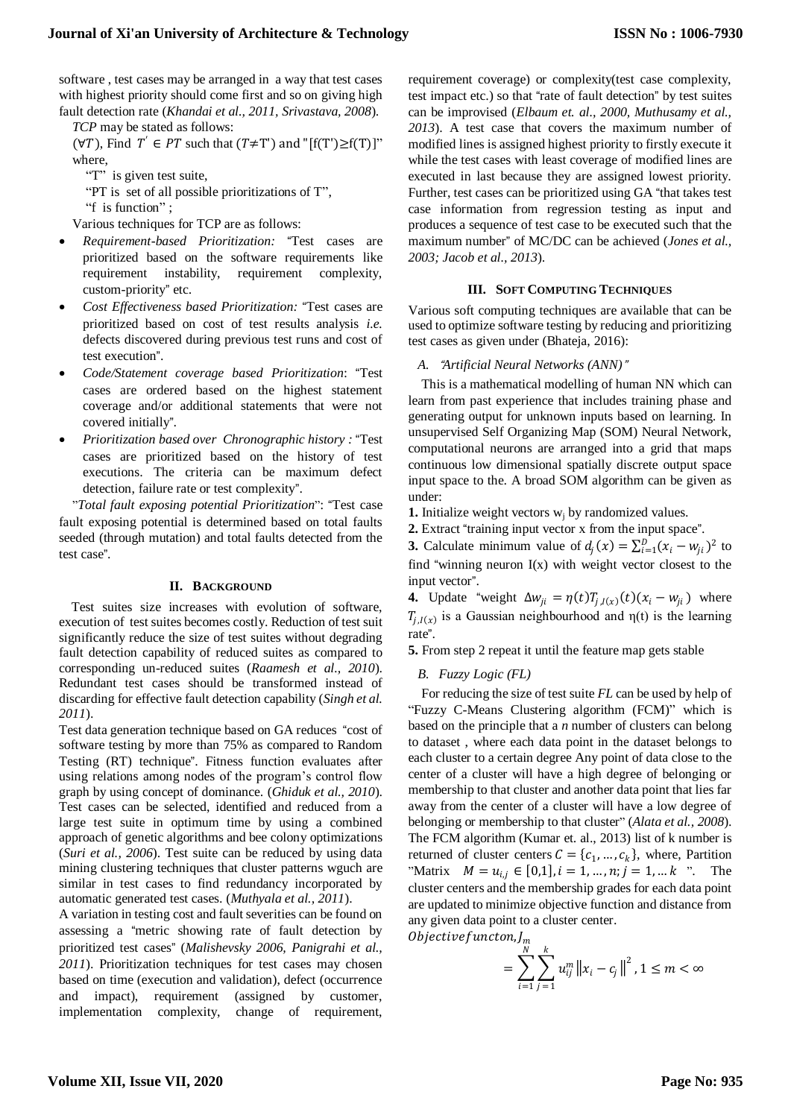software , test cases may be arranged in a way that test cases with highest priority should come first and so on giving high fault detection rate (*Khandai et al., 2011, Srivastava, 2008*). *TCP* may be stated as follows:

 $(\forall T)$ , Find  $T' \in PT$  such that  $(T \neq T')$  and "[f(T') $\geq f(T)$ ]" where,

"T" is given test suite,

"PT is set of all possible prioritizations of T",

"f is function";

Various techniques for TCP are as follows:

- *Requirement-based Prioritization:* "Test cases are prioritized based on the software requirements like requirement instability, requirement complexity, custom-priority" etc.
- *Cost Effectiveness based Prioritization:* "Test cases are prioritized based on cost of test results analysis *i.e.* defects discovered during previous test runs and cost of test execution".
- *Code/Statement coverage based Prioritization*: "Test cases are ordered based on the highest statement coverage and/or additional statements that were not covered initially".
- *Prioritization based over Chronographic history :* "Test cases are prioritized based on the history of test executions. The criteria can be maximum defect detection, failure rate or test complexity".

"*Total fault exposing potential Prioritization*": "Test case fault exposing potential is determined based on total faults seeded (through mutation) and total faults detected from the test case".

#### **II. BACKGROUND**

Test suites size increases with evolution of software, execution of test suites becomes costly. Reduction of test suit significantly reduce the size of test suites without degrading fault detection capability of reduced suites as compared to corresponding un-reduced suites (*Raamesh et al., 2010*). Redundant test cases should be transformed instead of discarding for effective fault detection capability (*Singh et al. 2011*).

Test data generation technique based on GA reduces "cost of software testing by more than 75% as compared to Random Testing (RT) technique". Fitness function evaluates after using relations among nodes of the program's control flow graph by using concept of dominance. (*Ghiduk et al., 2010*). Test cases can be selected, identified and reduced from a large test suite in optimum time by using a combined approach of genetic algorithms and bee colony optimizations (*Suri et al., 2006*). Test suite can be reduced by using data mining clustering techniques that cluster patterns wguch are similar in test cases to find redundancy incorporated by automatic generated test cases. (*Muthyala et al., 2011*).

A variation in testing cost and fault severities can be found on assessing a "metric showing rate of fault detection by prioritized test cases" (*Malishevsky 2006, Panigrahi et al., 2011*). Prioritization techniques for test cases may chosen based on time (execution and validation), defect (occurrence and impact), requirement (assigned by customer, implementation complexity, change of requirement,

requirement coverage) or complexity(test case complexity, test impact etc.) so that "rate of fault detection" by test suites can be improvised (*Elbaum et. al., 2000, Muthusamy et al., 2013*). A test case that covers the maximum number of modified lines is assigned highest priority to firstly execute it while the test cases with least coverage of modified lines are executed in last because they are assigned lowest priority. Further, test cases can be prioritized using GA "that takes test case information from regression testing as input and produces a sequence of test case to be executed such that the maximum number" of MC/DC can be achieved (*Jones et al., 2003; Jacob et al., 2013*).

#### **III. SOFT COMPUTING TECHNIQUES**

Various soft computing techniques are available that can be used to optimize software testing by reducing and prioritizing test cases as given under (Bhateja, 2016):

#### *A.* "*Artificial Neural Networks (ANN)*"

This is a mathematical modelling of human NN which can learn from past experience that includes training phase and generating output for unknown inputs based on learning. In unsupervised Self Organizing Map (SOM) Neural Network, computational neurons are arranged into a grid that maps continuous low dimensional spatially discrete output space input space to the. A broad SOM algorithm can be given as under:

- **1.** Initialize weight vectors  $w_i$  by randomized values.
- **2.** Extract "training input vector x from the input space".

**3.** Calculate minimum value of  $d_j(x) = \sum_{i=1}^{D} (x_i - w_{ji})^2$  to find "winning neuron  $I(x)$  with weight vector closest to the input vector".

**4.** Update "weight  $\Delta w_{ji} = \eta(t) T_{j,l(x)}(t) (x_i - w_{ji})$  where  $T_{j,l(x)}$  is a Gaussian neighbourhood and  $\eta(t)$  is the learning rate".

**5.** From step 2 repeat it until the feature map gets stable

### *B. Fuzzy Logic (FL)*

For reducing the size of test suite *FL* can be used by help of "Fuzzy C-Means Clustering algorithm (FCM)" which is based on the principle that a *n* number of clusters can belong to dataset , where each data point in the dataset belongs to each cluster to a certain degree Any point of data close to the center of a cluster will have a high degree of belonging or membership to that cluster and another data point that lies far away from the center of a cluster will have a low degree of belonging or membership to that cluster" (*Alata et al., 2008*). The FCM algorithm (Kumar et. al., 2013) list of k number is returned of cluster centers  $C = \{c_1, ..., c_k\}$ , where, Partition "Matrix  $M = u_{i,j} \in [0,1], i = 1, ..., n; j = 1, ... k$  ". The cluster centers and the membership grades for each data point are updated to minimize objective function and distance from any given data point to a cluster center. Objectivefuncton, J,

$$
= \sum_{i=1}^{N} \sum_{j=1}^{k} u_{ij}^{m} ||x_i - c_j||^2, 1 \leq m < \infty
$$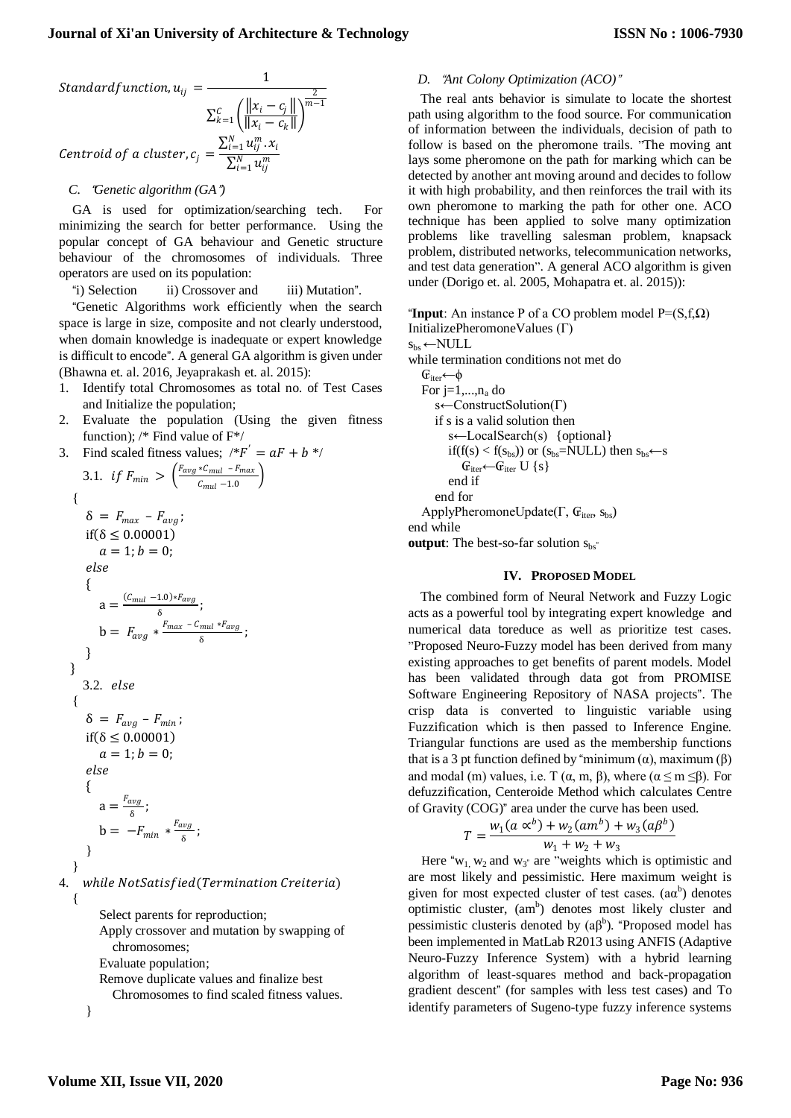Standardfunction, 
$$
u_{ij} = \frac{1}{\sum_{k=1}^{C} \left( \frac{||x_i - c_j||}{||x_i - c_k||} \right)^{\frac{2}{m-1}}}
$$
  
Centroid of a cluster,  $c_j = \frac{\sum_{i=1}^{N} u_{ij}^m \cdot x_i}{\sum_{i=1}^{N} u_{ij}^m}$ 

#### *C.* "*Genetic algorithm (GA*"*)*

GA is used for optimization/searching tech. For minimizing the search for better performance. Using the popular concept of GA behaviour and Genetic structure behaviour of the chromosomes of individuals. Three operators are used on its population:

"i) Selection ii) Crossover and iii) Mutation".

"Genetic Algorithms work efficiently when the search space is large in size, composite and not clearly understood, when domain knowledge is inadequate or expert knowledge is difficult to encode". A general GA algorithm is given under (Bhawna et. al. 2016, Jeyaprakash et. al. 2015):

- 1. Identify total Chromosomes as total no. of Test Cases and Initialize the population;
- 2. Evaluate the population (Using the given fitness function); /\* Find value of F\*/

 $h \cdot$  /

3. Find scaled fitness values; 
$$
{}^*F' = aF +
$$
  
\n3.1. if  $F_{min} > \left(\frac{F_{avg} * C_{mul} - F_{max}}{C_{mul} - 1.0}\right)$   
\n{  
\n $\delta = F_{max} - F_{avg};$   
\nif  $(\delta \le 0.00001)$   
\n $a = 1; b = 0;$   
\nelse  
\n{  
\n $a = \frac{(C_{mul} - 1.0) * F_{avg}}{\delta};$   
\n $b = F_{avg} * \frac{F_{max} - C_{mul} * F_{avg}}{\delta};$   
\n}  
\n3.2. else  
\n{  
\n $\delta = F_{avg} - F_{min};$   
\nif  $(\delta \le 0.00001)$   
\n $a = 1; b = 0;$   
\nelse  
\n{  
\n $a = \frac{F_{avg}}{\delta};$   
\n $b = -F_{min} * \frac{F_{avg}}{\delta};$   
\n}  
\n4. while NotSatisfied(Termination Cr

eiteria)

Select parents for reproduction;

Apply crossover and mutation by swapping of chromosomes; Evaluate population;

Remove duplicate values and finalize best

Chromosomes to find scaled fitness values.

}

#### *D.* "*Ant Colony Optimization (ACO)*"

The real ants behavior is simulate to locate the shortest path using algorithm to the food source. For communication of information between the individuals, decision of path to follow is based on the pheromone trails. "The moving ant lays some pheromone on the path for marking which can be detected by another ant moving around and decides to follow it with high probability, and then reinforces the trail with its own pheromone to marking the path for other one. ACO technique has been applied to solve many optimization problems like travelling salesman problem, knapsack problem, distributed networks, telecommunication networks, and test data generation". A general ACO algorithm is given under (Dorigo et. al. 2005, Mohapatra et. al. 2015)):

"**Input**: An instance P of a CO problem model  $P=(S,f,\Omega)$ InitializePheromoneValues (Г)  $s_{bs} \leftarrow \text{NULL}$ 

while termination conditions not met do

 $\mathbb{G}_{\text{iter}}$ ← $\phi$ For  $j=1,...,n_a$  do s←ConstructSolution( $\Gamma$ ) if s is a valid solution then s←LocalSearch(s) {optional} if(f(s) < f(s<sub>bs</sub>)) or (s<sub>bs</sub>=NULL) then s<sub>bs</sub>←s  $\mathbb{G}_{\text{iter}} \leftarrow \mathbb{G}_{\text{iter}} \cup \{s\}$ end if end for ApplyPheromoneUpdate( $\Gamma$ ,  $\mathbf{G}_{\text{iter}}$ ,  $\mathbf{s}_{\text{bs}}$ ) end while

**output**: The best-so-far solution  $s_{bs}$ "

#### **IV. PROPOSED MODEL**

The combined form of Neural Network and Fuzzy Logic acts as a powerful tool by integrating expert knowledge and numerical data toreduce as well as prioritize test cases. "Proposed Neuro-Fuzzy model has been derived from many existing approaches to get benefits of parent models. Model has been validated through data got from PROMISE Software Engineering Repository of NASA projects". The crisp data is converted to linguistic variable using Fuzzification which is then passed to Inference Engine. Triangular functions are used as the membership functions that is a 3 pt function defined by "minimum (α), maximum (β) and modal (m) values, i.e. T ( $\alpha$ , m,  $\beta$ ), where ( $\alpha \le m \le \beta$ ). For defuzzification, Centeroide Method which calculates Centre of Gravity (COG)" area under the curve has been used.

$$
T = \frac{w_1(a \propto^b) + w_2(am^b) + w_3(a\beta^b)}{w_1 + w_2 + w_3}
$$

Here " $w_1$ ,  $w_2$  and  $w_3$ " are "weights which is optimistic and are most likely and pessimistic. Here maximum weight is given for most expected cluster of test cases.  $(a\alpha^b)$  denotes optimistic cluster, (am<sup>b</sup>) denotes most likely cluster and pessimistic clusteris denoted by  $(a\beta^b)$ . "Proposed model has been implemented in MatLab R2013 using ANFIS (Adaptive Neuro-Fuzzy Inference System) with a hybrid learning algorithm of least-squares method and back-propagation gradient descent" (for samples with less test cases) and To identify parameters of Sugeno-type fuzzy inference systems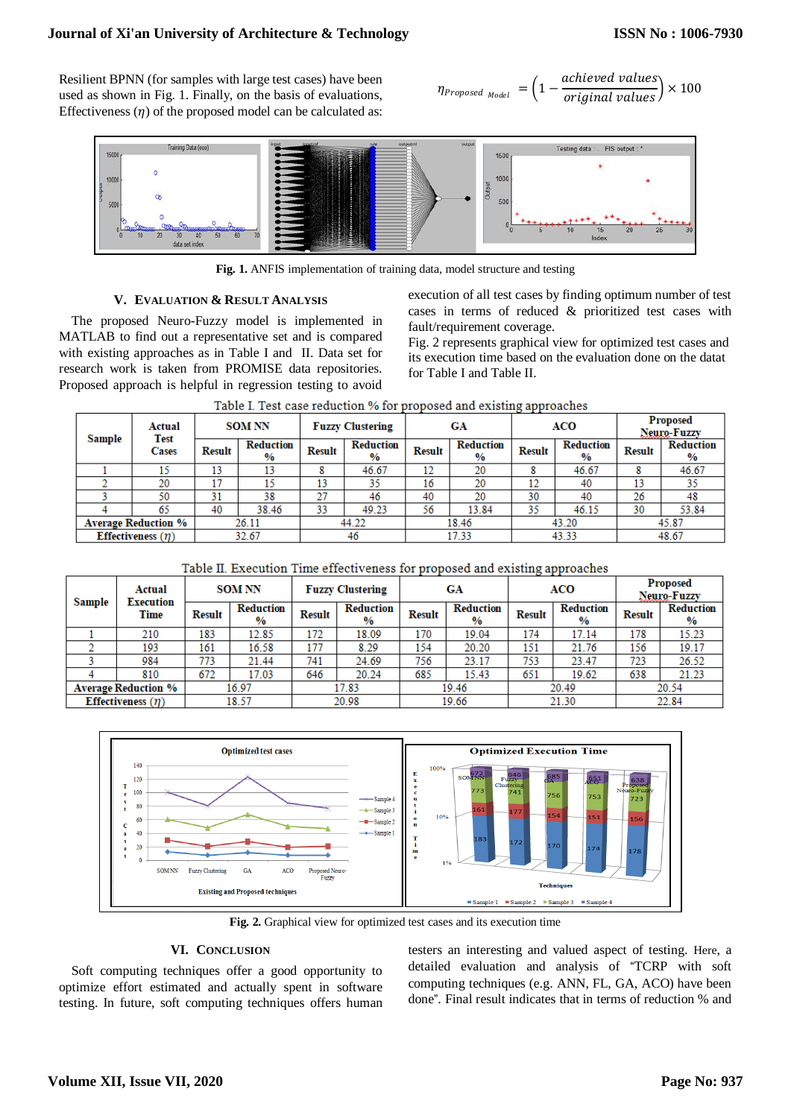# **Journal of Xi'an University of Architecture & Technology**

Resilient BPNN (for samples with large test cases) have been used as shown in Fig. 1. Finally, on the basis of evaluations, Effectiveness  $(\eta)$  of the proposed model can be calculated as:

$$
\eta_{Proposed_{Model}} = \left(1 - \frac{achieved \ values}{original \ values}\right) \times 100
$$



**Fig. 1.** ANFIS implementation of training data, model structure and testing

### **V. EVALUATION & RESULT ANALYSIS**

The proposed Neuro-Fuzzy model is implemented in MATLAB to find out a representative set and is compared with existing approaches as in Table I and II. Data set for research work is taken from PROMISE data repositories. Proposed approach is helpful in regression testing to avoid execution of all test cases by finding optimum number of test cases in terms of reduced & prioritized test cases with fault/requirement coverage.

Fig. 2 represents graphical view for optimized test cases and its execution time based on the evaluation done on the datat for Table I and Table II.

| Sample                        | Actual<br><b>Test</b><br>Cases | <b>SOM NN</b> |                                   | <b>Fuzzy Clustering</b> |                                   | GА            |                                   | ACO           |                                   | <b>Proposed</b><br>Neuro-Fuzzy |                                   |  |
|-------------------------------|--------------------------------|---------------|-----------------------------------|-------------------------|-----------------------------------|---------------|-----------------------------------|---------------|-----------------------------------|--------------------------------|-----------------------------------|--|
|                               |                                | <b>Result</b> | <b>Reduction</b><br>$\frac{9}{6}$ | <b>Result</b>           | <b>Reduction</b><br>$\frac{9}{6}$ | <b>Result</b> | <b>Reduction</b><br>$\frac{9}{6}$ | <b>Result</b> | <b>Reduction</b><br>$\frac{9}{6}$ | <b>Result</b>                  | <b>Reduction</b><br>$\frac{9}{6}$ |  |
|                               | 15                             | 13            | 13                                | 8                       | 46.67                             | 12            | 20                                | 8             | 46.67                             | o                              | 46.67                             |  |
|                               | 20                             | 17            | 15                                | 13                      | 35                                | 16            | 20                                | 10<br>ΙL      | 40                                | 13                             | 35                                |  |
|                               | 50                             | 31            | 38                                | 27                      | 46                                | 40            | 20                                | 30            | 40                                | 26                             | 48                                |  |
|                               | 65                             | 40            | 38.46                             | 33                      | 49.23                             | 56            | 13.84                             | 35            | 46.15                             | 30                             | 53.84                             |  |
| <b>Average Reduction %</b>    |                                | 26.11         |                                   | 44.22                   |                                   | 18.46         |                                   | 43.20         |                                   | 45.87                          |                                   |  |
| <b>Effectiveness</b> $(\eta)$ |                                | 32.67         |                                   |                         | 46                                |               | 17.33                             |               | 43.33                             |                                | 48.67                             |  |

Table I. Test case reduction % for proposed and existing approaches

| Table II. Execution Time effectiveness for proposed and existing approaches |  |  |  |
|-----------------------------------------------------------------------------|--|--|--|
|-----------------------------------------------------------------------------|--|--|--|

| <b>Sample</b>              | Actual<br><b>Execution</b><br>Time | <b>SOM NN</b> |                                   | <b>Fuzzy Clustering</b> |                                   | GA            |                                   | - <del>- - - - - - - -</del><br><b>ACO</b> |                                   | <b>Proposed</b><br>Neuro-Fuzzy |                          |
|----------------------------|------------------------------------|---------------|-----------------------------------|-------------------------|-----------------------------------|---------------|-----------------------------------|--------------------------------------------|-----------------------------------|--------------------------------|--------------------------|
|                            |                                    | <b>Result</b> | <b>Reduction</b><br>$\frac{9}{6}$ | <b>Result</b>           | <b>Reduction</b><br>$\frac{9}{6}$ | <b>Result</b> | <b>Reduction</b><br>$\frac{9}{6}$ | <b>Result</b>                              | <b>Reduction</b><br>$\frac{0}{0}$ | <b>Result</b>                  | <b>Reduction</b><br>$\%$ |
|                            | 210                                | 183           | 12.85                             | 172                     | 18.09                             | 170           | 19.04                             | 174                                        | 17.14                             | 178                            | 15.23                    |
|                            | 193                                | 161           | 16.58                             | 177                     | 8.29                              | 154           | 20.20                             | 151                                        | 21.76                             | 156                            | 19.17                    |
|                            | 984                                | 773           | 21.44                             | 741                     | 24.69                             | 756           | 23.17                             | 753                                        | 23.47                             | 723                            | 26.52                    |
|                            | 810                                | 672           | 17.03                             | 646                     | 20.24                             | 685           | 15.43                             | 651                                        | 19.62                             | 638                            | 21.23                    |
| <b>Average Reduction %</b> |                                    | 16.97         |                                   | 17.83                   |                                   | 19.46         |                                   | 20.49                                      |                                   | 20.54                          |                          |
| Effectiveness $(\eta)$     |                                    | 18.57         |                                   | 20.98                   |                                   | 19.66         |                                   | 21.30                                      |                                   | 22.84                          |                          |



**Fig. 2.** Graphical view for optimized test cases and its execution time

# **VI. CONCLUSION**

Soft computing techniques offer a good opportunity to optimize effort estimated and actually spent in software testing. In future, soft computing techniques offers human

testers an interesting and valued aspect of testing. Here, a detailed evaluation and analysis of "TCRP with soft computing techniques (e.g. ANN, FL, GA, ACO) have been done". Final result indicates that in terms of reduction % and